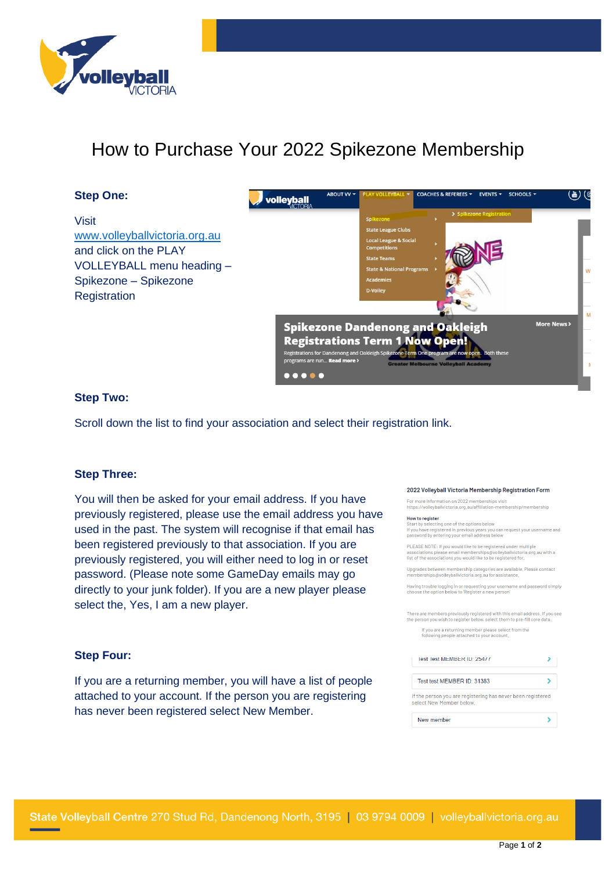

# How to Purchase Your 2022 Spikezone Membership

## **Step One:**

Visit [www.volleyballvictoria.org.au](http://www.volleyballvictoria.org.au/) and click on the PLAY VOLLEYBALL menu heading – Spikezone – Spikezone **Registration** 



## **Step Two:**

Scroll down the list to find your association and select their registration link.

## **Step Three:**

You will then be asked for your email address. If you have previously registered, please use the email address you have used in the past. The system will recognise if that email has been registered previously to that association. If you are previously registered, you will either need to log in or reset password. (Please note some GameDay emails may go directly to your junk folder). If you are a new player please select the, Yes, I am a new player.

#### 2022 Volleyball Victoria Membership Registration Form

For more information on 2022 memberships visit

https://vollevballvictoria.org.au/affiliation-membership/membership

### **How to register**

now to register<br>Start by selecting one of the options below<br>If you have registered in previous years you can request your username and<br>password by entering your email address below

PLEASE NOTE: If you would like to be registered under multiple<br>associations please email memberships@volleyballvictoria.org.au with a<br>list of the associations you would like to be registered for,

Upgrades between membership categories are available, Please contact<br>memberships@volleyballvictoria.org.au for assistance.

.<br>Having trouble logging in or requesting your username and password simply<br>choose the option below to 'Register a new person'

There are members previously registered with this email address, If you see<br>the person you wish to register below, select them to pre-fill core data, If you are a returning member please select from the<br>following people attached to your account.

| Test Test MEMBER ID: 25477 |  |
|----------------------------|--|
|                            |  |
| Test test MEMBER ID: 31383 |  |

If the person you are registering has never been registered select New Member below,

| New member |  |
|------------|--|
|------------|--|

## **Step Four:**

If you are a returning member, you will have a list of people attached to your account. If the person you are registering has never been registered select New Member.

State Volleyball Centre 270 Stud Rd, Dandenong North, 3195 | 03 9794 0009 | volleyballvictoria.org.au